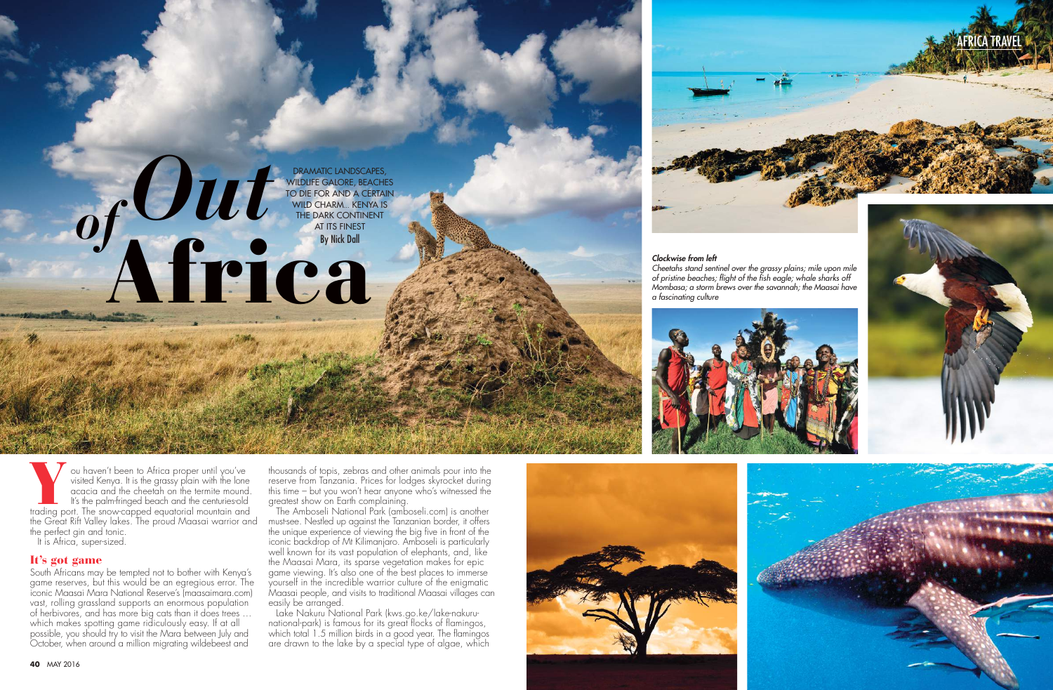**40** MAY 2016







#### *Clockwise from left*

*Cheetahs stand sentinel over the grassy plains; mile upon mile of pristine beaches; flight of the fish eagle; whale sharks off Mombasa; a storm brews over the savannah; the Maasai have a fascinating culture*



You haven't been to Africa proper until you've visited Kenya. It is the grassy plain with the lone acacia and the cheetah on the termite mound.<br>It's the palm-fringed beach and the centuries-old trading port. The snow-cappe visited Kenya. It is the grassy plain with the lone acacia and the cheetah on the termite mound. It's the palm-fringed beach and the centuries-old the Great Rift Valley lakes. The proud Maasai warrior and the perfect gin and tonic.

thousands of topis, zebras and other animals pour into the reserve from Tanzania. Prices for lodges skyrocket during this time – but you won't hear anyone who's witnessed the areatest show on Earth complaining.

It is Africa, super-sized.

# It's got game

South Africans may be tempted not to bother with Kenya's game reserves, but this would be an egregious error. The iconic Maasai Mara National Reserve's (maasaimara.com) vast, rolling grassland supports an enormous population of herbivores, and has more big cats than it does trees … which makes spotting game ridiculously easy. If at all possible, you should try to visit the Mara between July and October, when around a million migrating wildebeest and

The Amboseli National Park (amboseli.com) is another must-see. Nestled up against the Tanzanian border, it offers the unique experience of viewing the big five in front of the iconic backdrop of Mt Kilimanjaro. Amboseli is particularly well known for its vast population of elephants, and, like the Maasai Mara, its sparse vegetation makes for epic game viewing. It's also one of the best places to immerse yourself in the incredible warrior culture of the enigmatic Maasai people, and visits to traditional Maasai villages can easily be arranged.

Lake Nakuru National Park (kws.go.ke/lake-nakurunational-park) is famous for its great flocks of flamingos, which total 1.5 million birds in a good year. The flamingos are drawn to the lake by a special type of algae, which



DRAMATIC LANDSCAPES, WILDLIFE GALORE, BEACHES TO DIE FOR AND A CERTAIN WILD CHARM… KENYA IS THE DARK CONTINENT

DRAMATIC LANDSC<br>
MILDLIFE GALORE, BITO DIE FOR AND A C<br>
MILD CHARM... KEN<br>
THE DARK CONTIN<br>
AT ITS FINEST<br>
By Nick Dall

Africa